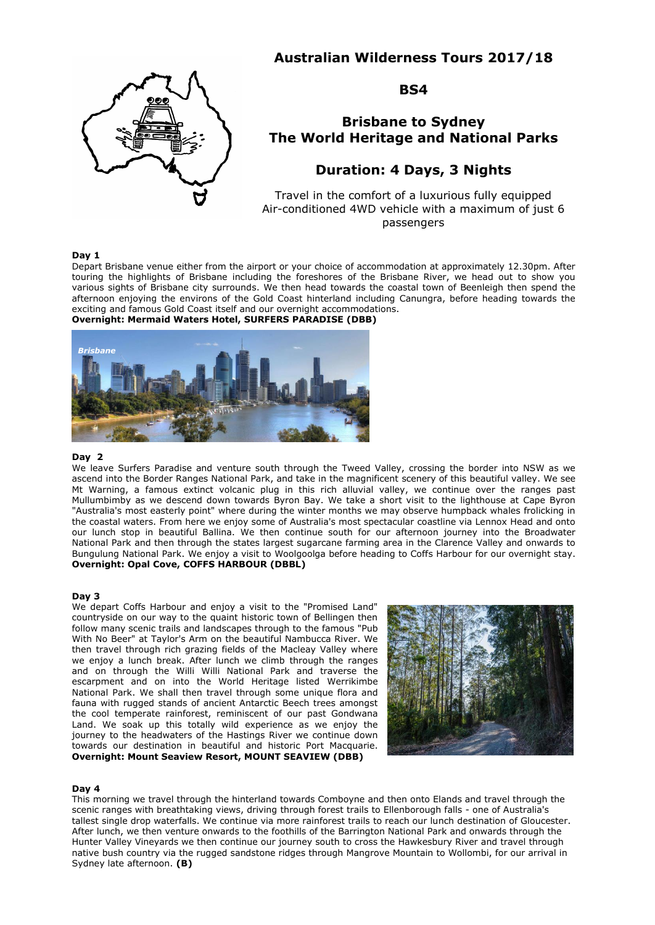## **Australian Wilderness Tours 2017/18**



**BS4**

# **Brisbane to Sydney The World Heritage and National Parks**

## **Duration: 4 Days, 3 Nights**

Travel in the comfort of a luxurious fully equipped Air-conditioned 4WD vehicle with a maximum of just 6 passengers

### **Day 1**

Depart Brisbane venue either from the airport or your choice of accommodation at approximately 12.30pm. After touring the highlights of Brisbane including the foreshores of the Brisbane River, we head out to show you various sights of Brisbane city surrounds. We then head towards the coastal town of Beenleigh then spend the afternoon enjoying the environs of the Gold Coast hinterland including Canungra, before heading towards the exciting and famous Gold Coast itself and our overnight accommodations.

## **Overnight: Mermaid Waters Hotel, SURFERS PARADISE (DBB)**



#### **Day 2**

We leave Surfers Paradise and venture south through the Tweed Valley, crossing the border into NSW as we ascend into the Border Ranges National Park, and take in the magnificent scenery of this beautiful valley. We see Mt Warning, a famous extinct volcanic plug in this rich alluvial valley, we continue over the ranges past Mullumbimby as we descend down towards Byron Bay. We take a short visit to the lighthouse at Cape Byron "Australia's most easterly point" where during the winter months we may observe humpback whales frolicking in the coastal waters. From here we enjoy some of Australia's most spectacular coastline via Lennox Head and onto our lunch stop in beautiful Ballina. We then continue south for our afternoon journey into the Broadwater National Park and then through the states largest sugarcane farming area in the Clarence Valley and onwards to Bungulung National Park. We enjoy a visit to Woolgoolga before heading to Coffs Harbour for our overnight stay. **Overnight: Opal Cove, COFFS HARBOUR (DBBL)**

#### **Day 3**

We depart Coffs Harbour and enjoy a visit to the "Promised Land" countryside on our way to the quaint historic town of Bellingen then follow many scenic trails and landscapes through to the famous "Pub With No Beer" at Taylor's Arm on the beautiful Nambucca River. We then travel through rich grazing fields of the Macleay Valley where we enjoy a lunch break. After lunch we climb through the ranges and on through the Willi Willi National Park and traverse the escarpment and on into the World Heritage listed Werrikimbe National Park. We shall then travel through some unique flora and fauna with rugged stands of ancient Antarctic Beech trees amongst the cool temperate rainforest, reminiscent of our past Gondwana Land. We soak up this totally wild experience as we enjoy the journey to the headwaters of the Hastings River we continue down towards our destination in beautiful and historic Port Macquarie. **Overnight: Mount Seaview Resort, MOUNT SEAVIEW (DBB)**



#### **Day 4**

This morning we travel through the hinterland towards Comboyne and then onto Elands and travel through the scenic ranges with breathtaking views, driving through forest trails to Ellenborough falls - one of Australia's tallest single drop waterfalls. We continue via more rainforest trails to reach our lunch destination of Gloucester. After lunch, we then venture onwards to the foothills of the Barrington National Park and onwards through the Hunter Valley Vineyards we then continue our journey south to cross the Hawkesbury River and travel through native bush country via the rugged sandstone ridges through Mangrove Mountain to Wollombi, for our arrival in Sydney late afternoon. **(B)**